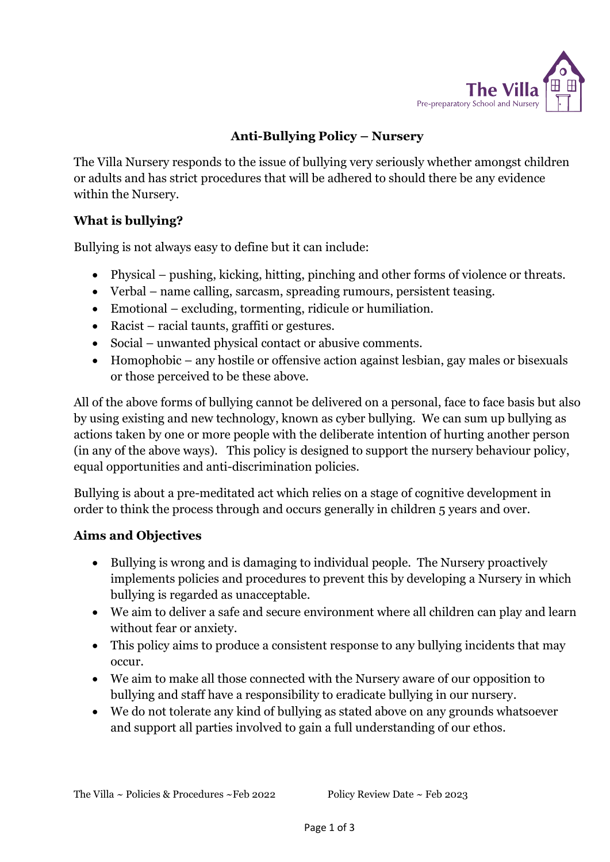

# **Anti-Bullying Policy – Nursery**

The Villa Nursery responds to the issue of bullying very seriously whether amongst children or adults and has strict procedures that will be adhered to should there be any evidence within the Nursery.

## **What is bullying?**

Bullying is not always easy to define but it can include:

- Physical pushing, kicking, hitting, pinching and other forms of violence or threats.
- Verbal name calling, sarcasm, spreading rumours, persistent teasing.
- Emotional excluding, tormenting, ridicule or humiliation.
- Racist racial taunts, graffiti or gestures.
- Social unwanted physical contact or abusive comments.
- Homophobic any hostile or offensive action against lesbian, gay males or bisexuals or those perceived to be these above.

All of the above forms of bullying cannot be delivered on a personal, face to face basis but also by using existing and new technology, known as cyber bullying. We can sum up bullying as actions taken by one or more people with the deliberate intention of hurting another person (in any of the above ways). This policy is designed to support the nursery behaviour policy, equal opportunities and anti-discrimination policies.

Bullying is about a pre-meditated act which relies on a stage of cognitive development in order to think the process through and occurs generally in children 5 years and over.

## **Aims and Objectives**

- Bullying is wrong and is damaging to individual people. The Nursery proactively implements policies and procedures to prevent this by developing a Nursery in which bullying is regarded as unacceptable.
- We aim to deliver a safe and secure environment where all children can play and learn without fear or anxiety.
- This policy aims to produce a consistent response to any bullying incidents that may occur.
- We aim to make all those connected with the Nursery aware of our opposition to bullying and staff have a responsibility to eradicate bullying in our nursery.
- We do not tolerate any kind of bullying as stated above on any grounds whatsoever and support all parties involved to gain a full understanding of our ethos.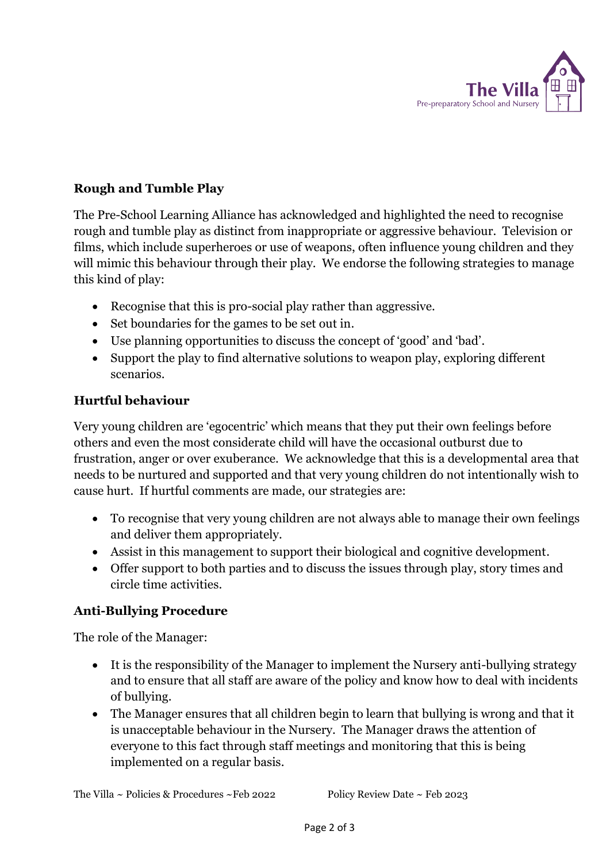

## **Rough and Tumble Play**

The Pre-School Learning Alliance has acknowledged and highlighted the need to recognise rough and tumble play as distinct from inappropriate or aggressive behaviour. Television or films, which include superheroes or use of weapons, often influence young children and they will mimic this behaviour through their play. We endorse the following strategies to manage this kind of play:

- Recognise that this is pro-social play rather than aggressive.
- Set boundaries for the games to be set out in.
- Use planning opportunities to discuss the concept of 'good' and 'bad'.
- Support the play to find alternative solutions to weapon play, exploring different scenarios.

#### **Hurtful behaviour**

Very young children are 'egocentric' which means that they put their own feelings before others and even the most considerate child will have the occasional outburst due to frustration, anger or over exuberance. We acknowledge that this is a developmental area that needs to be nurtured and supported and that very young children do not intentionally wish to cause hurt. If hurtful comments are made, our strategies are:

- To recognise that very young children are not always able to manage their own feelings and deliver them appropriately.
- Assist in this management to support their biological and cognitive development.
- Offer support to both parties and to discuss the issues through play, story times and circle time activities.

## **Anti-Bullying Procedure**

The role of the Manager:

- It is the responsibility of the Manager to implement the Nursery anti-bullying strategy and to ensure that all staff are aware of the policy and know how to deal with incidents of bullying.
- The Manager ensures that all children begin to learn that bullying is wrong and that it is unacceptable behaviour in the Nursery. The Manager draws the attention of everyone to this fact through staff meetings and monitoring that this is being implemented on a regular basis.